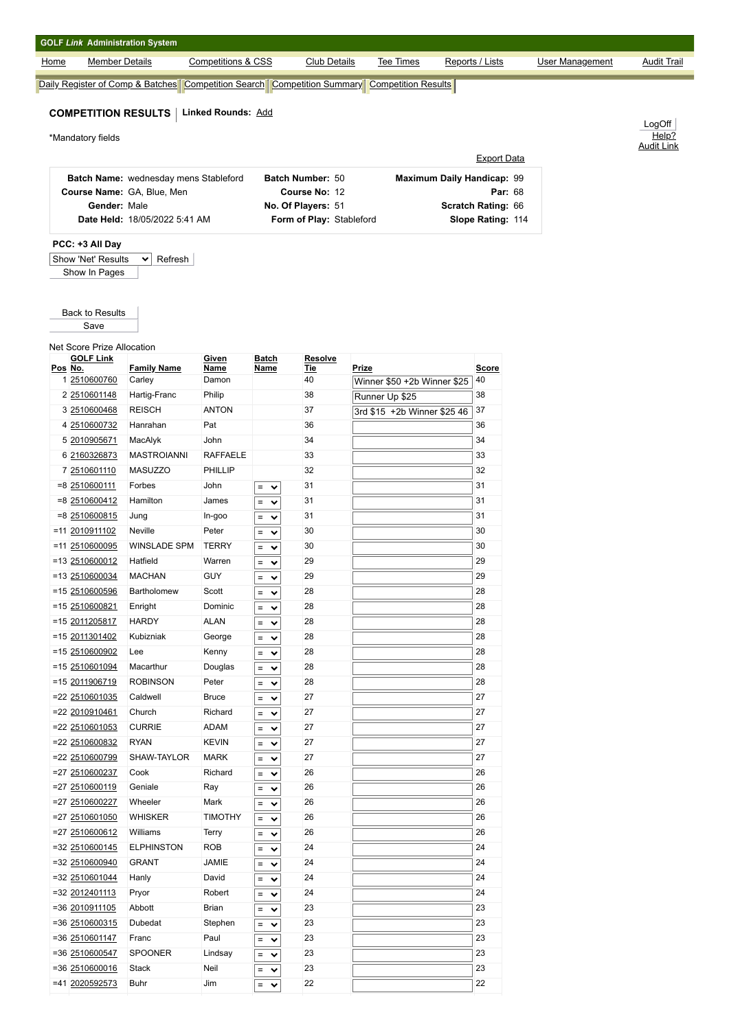| <b>GOLF Link Administration System</b> |                                       |                               |                      |                          |                                                                                                   |                    |                        |                    |
|----------------------------------------|---------------------------------------|-------------------------------|----------------------|--------------------------|---------------------------------------------------------------------------------------------------|--------------------|------------------------|--------------------|
| Home                                   | <b>Member Details</b>                 | <b>Competitions &amp; CSS</b> |                      | <b>Club Details</b>      | <b>Tee Times</b>                                                                                  | Reports / Lists    | <b>User Management</b> | <b>Audit Trail</b> |
|                                        |                                       |                               |                      |                          | Daily Register of Comp & Batches   Competition Search   Competition Summary   Competition Results |                    |                        |                    |
|                                        |                                       |                               |                      |                          |                                                                                                   |                    |                        |                    |
| <b>COMPETITION RESULTS</b>             |                                       | <b>Linked Rounds: Add</b>     |                      |                          |                                                                                                   |                    |                        |                    |
| *Mandatory fields                      |                                       |                               |                      |                          |                                                                                                   |                    |                        | LogOff<br>Help?    |
|                                        |                                       |                               |                      |                          |                                                                                                   |                    |                        | <b>Audit Link</b>  |
|                                        |                                       |                               |                      |                          |                                                                                                   | <b>Export Data</b> |                        |                    |
|                                        | Batch Name: wednesday mens Stableford |                               |                      | Batch Number: 50         | Maximum Daily Handicap: 99                                                                        |                    |                        |                    |
|                                        | Course Name: GA, Blue, Men            |                               |                      | Course No: 12            |                                                                                                   | <b>Par: 68</b>     |                        |                    |
|                                        | Gender: Male                          |                               |                      | No. Of Players: 51       |                                                                                                   | Scratch Rating: 66 |                        |                    |
|                                        | Date Held: 18/05/2022 5:41 AM         |                               |                      | Form of Play: Stableford |                                                                                                   | Slope Rating: 114  |                        |                    |
| PCC: +3 All Day                        |                                       |                               |                      |                          |                                                                                                   |                    |                        |                    |
| Show 'Net' Results                     | Refresh<br>$\checkmark$               |                               |                      |                          |                                                                                                   |                    |                        |                    |
| Show In Pages                          |                                       |                               |                      |                          |                                                                                                   |                    |                        |                    |
|                                        |                                       |                               |                      |                          |                                                                                                   |                    |                        |                    |
|                                        |                                       |                               |                      |                          |                                                                                                   |                    |                        |                    |
| <b>Back to Results</b>                 |                                       |                               |                      |                          |                                                                                                   |                    |                        |                    |
| Save                                   |                                       |                               |                      |                          |                                                                                                   |                    |                        |                    |
| <b>Net Score Prize Allocation</b>      |                                       |                               |                      |                          |                                                                                                   |                    |                        |                    |
| <b>GOLF Link</b><br>Pos No.            | <b>Family Name</b>                    | Given<br>Name                 | <b>Batch</b><br>Name | Resolve<br><b>Tie</b>    | Prize                                                                                             | <b>Score</b>       |                        |                    |
| 1 2510600760                           | Carley                                | Damon                         |                      | 40                       | Winner \$50 +2b Winner \$25                                                                       | 40                 |                        |                    |
| 2 2510601148                           | Hartig-Franc                          | Philip                        |                      | 38                       | Runner Up \$25                                                                                    | 38                 |                        |                    |
| 3 2510600468                           | <b>REISCH</b>                         | <b>ANTON</b>                  |                      | 37                       | 3rd \$15 +2b Winner \$25 46                                                                       | 37                 |                        |                    |
| 4 2510600732                           | Hanrahan                              | Pat                           |                      | 36                       |                                                                                                   | 36                 |                        |                    |
| 5 2010905671                           | MacAlyk                               | John                          |                      | 34                       |                                                                                                   | 34                 |                        |                    |
| 6 2160326873                           | <b>MASTROIANNI</b>                    | <b>RAFFAELE</b>               |                      | 33                       |                                                                                                   | 33                 |                        |                    |
| 7 2510601110                           | MASUZZO                               | PHILLIP                       |                      | 32                       |                                                                                                   | 32                 |                        |                    |
| $= 8 \times 2510600111$                | Forbes                                | John                          | $=$ $\vee$           | 31                       |                                                                                                   | 31                 |                        |                    |
| $= 8 \, 2510600412$                    |                                       |                               |                      |                          |                                                                                                   |                    |                        |                    |
|                                        | Hamilton                              | James                         | $=$<br>$\checkmark$  | 31                       |                                                                                                   | 31                 |                        |                    |
| =8 2510600815                          | Jung                                  | In-goo                        | $=$<br>$\checkmark$  | 31                       |                                                                                                   | 31                 |                        |                    |
| =11 2010911102                         | Neville                               | Peter                         | $=$ $\vee$           | 30                       |                                                                                                   | 30                 |                        |                    |
| =11 2510600095                         | <b>WINSLADE SPM</b>                   | <b>TERRY</b>                  | $=$<br>$\checkmark$  | 30                       |                                                                                                   | 30                 |                        |                    |

|  | $= 8 \, 2510600412$  | Hamilton            | James          | $=$ | $\checkmark$ | 31 | 31 |
|--|----------------------|---------------------|----------------|-----|--------------|----|----|
|  | $= 8$ 2510600815     | Jung                | In-goo         | =   | $\checkmark$ | 31 | 31 |
|  | =11 2010911102       | Neville             | Peter          | =   | $\checkmark$ | 30 | 30 |
|  | $= 11 \, 2510600095$ | <b>WINSLADE SPM</b> | <b>TERRY</b>   | $=$ | $\checkmark$ | 30 | 30 |
|  | $= 13$ 2510600012    | Hatfield            | Warren         | $=$ | $\checkmark$ | 29 | 29 |
|  | =13 2510600034       | <b>MACHAN</b>       | GUY            | =   | $\checkmark$ | 29 | 29 |
|  | =15 2510600596       | Bartholomew         | Scott          | =   | $\checkmark$ | 28 | 28 |
|  | =15 2510600821       | Enright             | Dominic        | $=$ | $\checkmark$ | 28 | 28 |
|  | =15 2011205817       | <b>HARDY</b>        | <b>ALAN</b>    | =   | $\checkmark$ | 28 | 28 |
|  | =15 2011301402       | Kubizniak           | George         | $=$ | $\checkmark$ | 28 | 28 |
|  | =15 2510600902       | Lee                 | Kenny          | =   | $\checkmark$ | 28 | 28 |
|  | $= 15$ 2510601094    | Macarthur           | Douglas        | $=$ | $\checkmark$ | 28 | 28 |
|  | =15 2011906719       | <b>ROBINSON</b>     | Peter          | $=$ | $\checkmark$ | 28 | 28 |
|  | =22 2510601035       | Caldwell            | <b>Bruce</b>   | $=$ | $\checkmark$ | 27 | 27 |
|  | =22 2010910461       | Church              | Richard        | $=$ | $\checkmark$ | 27 | 27 |
|  | =22 2510601053       | <b>CURRIE</b>       | <b>ADAM</b>    | $=$ | $\checkmark$ | 27 | 27 |
|  | =22 2510600832       | <b>RYAN</b>         | <b>KEVIN</b>   | $=$ | $\checkmark$ | 27 | 27 |
|  | =22 2510600799       | SHAW-TAYLOR         | <b>MARK</b>    | $=$ | $\checkmark$ | 27 | 27 |
|  | =27 2510600237       | Cook                | Richard        | $=$ | $\checkmark$ | 26 | 26 |
|  | =27 2510600119       | Geniale             | Ray            | $=$ | $\checkmark$ | 26 | 26 |
|  | =27 2510600227       | Wheeler             | Mark           | $=$ | $\checkmark$ | 26 | 26 |
|  | =27 2510601050       | <b>WHISKER</b>      | <b>TIMOTHY</b> | $=$ | $\checkmark$ | 26 | 26 |
|  | =27 2510600612       | Williams            | Terry          | Ξ   | $\checkmark$ | 26 | 26 |
|  | =32 2510600145       | <b>ELPHINSTON</b>   | <b>ROB</b>     | $=$ | $\checkmark$ | 24 | 24 |
|  | =32 2510600940       | <b>GRANT</b>        | <b>JAMIE</b>   | $=$ | $\checkmark$ | 24 | 24 |
|  | =32 2510601044       | Hanly               | David          | $=$ | $\checkmark$ | 24 | 24 |
|  | =32 2012401113       | Pryor               | Robert         | Ξ   | $\checkmark$ | 24 | 24 |
|  | =36 2010911105       | Abbott              | <b>Brian</b>   | $=$ | $\checkmark$ | 23 | 23 |
|  | =36 2510600315       | Dubedat             | Stephen        | $=$ | $\checkmark$ | 23 | 23 |
|  | =36 2510601147       | Franc               | Paul           | $=$ | $\checkmark$ | 23 | 23 |
|  | =36 2510600547       | <b>SPOONER</b>      | Lindsay        | Ξ   | $\checkmark$ | 23 | 23 |
|  | =36 2510600016       | <b>Stack</b>        | Neil           | $=$ | $\checkmark$ | 23 | 23 |
|  | =41 2020592573       | Buhr                | Jim            | $=$ | $\checkmark$ | 22 | 22 |